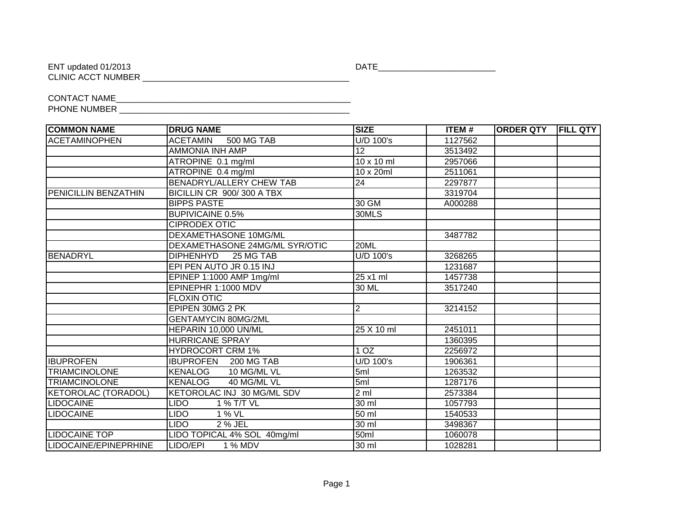CLINIC ACCT NUMBER \_\_\_\_\_\_\_\_\_\_\_\_\_\_\_\_\_\_\_\_\_\_\_\_\_\_\_\_\_\_\_\_\_\_\_\_\_\_\_\_\_\_\_\_

ENT updated 01/2013 DATE\_\_\_\_\_\_\_\_\_\_\_\_\_\_\_\_\_\_\_\_\_\_\_\_\_

CONTACT NAME\_\_\_\_\_\_\_\_\_\_\_\_\_\_\_\_\_\_\_\_\_\_\_\_\_\_\_\_\_\_\_\_\_\_\_\_\_\_\_\_\_\_\_\_\_\_\_\_\_\_ PHONE NUMBER \_\_\_\_\_\_\_\_\_\_\_\_\_\_\_\_\_\_\_\_\_\_\_\_\_\_\_\_\_\_\_\_\_\_\_\_\_\_\_\_\_\_\_\_\_\_\_\_\_

| <b>COMMON NAME</b>          | <b>DRUG NAME</b>                     | <b>SIZE</b>     | ITEM#   | <b>ORDER QTY</b> | <b>FILL QTY</b> |
|-----------------------------|--------------------------------------|-----------------|---------|------------------|-----------------|
| <b>ACETAMINOPHEN</b>        | <b>ACETAMIN</b><br><b>500 MG TAB</b> | U/D 100's       | 1127562 |                  |                 |
|                             | <b>AMMONIA INH AMP</b>               | 12              | 3513492 |                  |                 |
|                             | ATROPINE 0.1 mg/ml                   | 10 x 10 ml      | 2957066 |                  |                 |
|                             | ATROPINE 0.4 mg/ml                   | 10 x 20ml       | 2511061 |                  |                 |
|                             | <b>BENADRYL/ALLERY CHEW TAB</b>      | 24              | 2297877 |                  |                 |
| <b>PENICILLIN BENZATHIN</b> | BICILLIN CR 900/300 A TBX            |                 | 3319704 |                  |                 |
|                             | <b>BIPPS PASTE</b>                   | 30 GM           | A000288 |                  |                 |
|                             | <b>BUPIVICAINE 0.5%</b>              | 30MLS           |         |                  |                 |
|                             | <b>CIPRODEX OTIC</b>                 |                 |         |                  |                 |
|                             | <b>DEXAMETHASONE 10MG/ML</b>         |                 | 3487782 |                  |                 |
|                             | DEXAMETHASONE 24MG/ML SYR/OTIC       | 20ML            |         |                  |                 |
| BENADRYL                    | <b>DIPHENHYD</b><br>25 MG TAB        | U/D 100's       | 3268265 |                  |                 |
|                             | EPI PEN AUTO JR 0.15 INJ             |                 | 1231687 |                  |                 |
|                             | EPINEP 1:1000 AMP 1mg/ml             | 25 x1 ml        | 1457738 |                  |                 |
|                             | EPINEPHR 1:1000 MDV                  | 30 ML           | 3517240 |                  |                 |
|                             | <b>FLOXIN OTIC</b>                   |                 |         |                  |                 |
|                             | EPIPEN 30MG 2 PK                     | 2               | 3214152 |                  |                 |
|                             | <b>GENTAMYCIN 80MG/2ML</b>           |                 |         |                  |                 |
|                             | HEPARIN 10,000 UN/ML                 | 25 X 10 ml      | 2451011 |                  |                 |
|                             | <b>HURRICANE SPRAY</b>               |                 | 1360395 |                  |                 |
|                             | <b>HYDROCORT CRM 1%</b>              | 10Z             | 2256972 |                  |                 |
| <b>IBUPROFEN</b>            | <b>IBUPROFEN</b><br>200 MG TAB       | U/D 100's       | 1906361 |                  |                 |
| <b>TRIAMCINOLONE</b>        | 10 MG/ML VL<br><b>KENALOG</b>        | 5ml             | 1263532 |                  |                 |
| <b>TRIAMCINOLONE</b>        | 40 MG/ML VL<br><b>KENALOG</b>        | 5ml             | 1287176 |                  |                 |
| <b>KETOROLAC (TORADOL)</b>  | KETOROLAC INJ 30 MG/ML SDV           | 2 <sub>m1</sub> | 2573384 |                  |                 |
| <b>LIDOCAINE</b>            | <b>LIDO</b><br>1 % T/T VL            | 30 ml           | 1057793 |                  |                 |
| <b>LIDOCAINE</b>            | LIDO<br>1 % VL                       | 50 ml           | 1540533 |                  |                 |
|                             | LIDO<br>2 % JEL                      | 30 ml           | 3498367 |                  |                 |
| <b>LIDOCAINE TOP</b>        | LIDO TOPICAL 4% SOL 40mg/ml          | 50ml            | 1060078 |                  |                 |
| LIDOCAINE/EPINEPRHINE       | 1 % MDV<br>LIDO/EPI                  | 30 ml           | 1028281 |                  |                 |